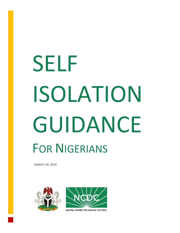# **SELF** ISOLATION GUIDANCE **FOR NIGERIANS**

MARCH 18, 2020





NIGERIA CENTRE FOR DISEASE CONTROL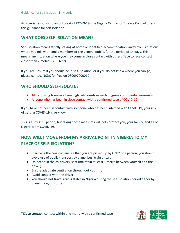As Nigeria responds to an outbreak of COVI9-19, the Nigeria Centre for Disease Control offers this guidance for self-isolation.

#### **WHAT DOES SELF-ISOLATION MEAN?**

Self-isolation means strictly staying at home or identified accommodation, away from situations where you mix with family members or the general public, for the period of 14 days. This means any situation where you may come in close contact with others (face to face contact closer than 2 metres i.e. 5 feet).

If you are unsure if you should be in self-isolation, or if you do not know where you can go, please contact NCDC for free on 080097000010

### **WHO SHOULD SELF-ISOLATE?**

- **All returning travelers from high risk countries with ongoing community transmission**
- Anyone who has been in close contact with a confirmed case of COVID-19

If you have not been in contact with someone who has been infected with COVID-19, your risk of getting COVID-19 is very low.

This is a stressful period, but taking these measures will help protect you, your family, and all of Nigeria from COVID-19.

# **HOW WILL I MOVE FROM MY ARRIVAL POINT IN NIGERIA TO MY PLACE OF SELF-ISOLATION?**

- If arriving the country, ensure that you are picked up by ONLY one person; you should avoid use of public transport by plane, bus, train or car.
- Do not sit in the co-drivers' seat (maintain at least 1 metre between yourself and the driver)
- Ensure adequate ventilation throughout your trip
- Avoid contact with the driver
- You should not travel across states in Nigeria during the self-isolation period either by plane, train, bus or car

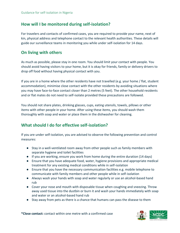#### **How will I be monitored during self-isolation?**

For travelers and contacts of confirmed cases, you are required to provide your name, next of kin, physical address and telephone contact to the relevant health authorities. These details will guide our surveillance teams in monitoring you while under self-isolation for 14 days.

#### **On living with others**

As much as possible, please stay in one room. You should limit your contact with people. You should avoid having visitors to your home, but it is okay for friends, family or delivery drivers to drop off food without having physical contact with you.

If you are in a home where the other residents have not travelled (e.g. your home / flat, student accommodation), minimise close contact with the other residents by avoiding situations where you may have face-to-face contact closer than 2 metres (5 feet). The other household residents and or flat mates do not need to self-isolate provided these precautions are followed.

You should not share plates, drinking glasses, cups, eating utensils, towels, pillows or other items with other people in your home. After using these items, you should wash them thoroughly with soap and water or place them in the dishwasher for cleaning.

### **What should I do for effective self-isolation?**

If you are under self-isolation, you are advised to observe the following prevention and control measures:

- Stay in a well-ventilated room away from other people such as family members with separate hygiene and toilet facilities
- If you are working, ensure you work from home during the entire duration (14 days)
- Ensure that you have adequate food, water, hygiene provisions and appropriate medical treatment for any existing medical conditions while in self-isolation
- Ensure that you have the necessary communication facilities e.g. mobile telephone to communicate with family members and other people while in self-isolation
- Always wash your hands with soap and water regularly or use an alcohol-based hand rub
- Cover your nose and mouth with disposable tissue when coughing and sneezing. Throw away used tissue into the dustbin or burn it and wash your hands immediately with soap and water or an alcohol-based hand rub
- Stay away from pets as there is a chance that humans can pass the disease to them

**\*Close contact:** contact within one metre with a confirmed case

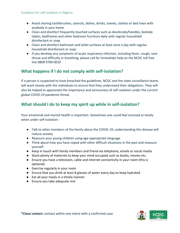- Avoid sharing toothbrushes, utensils, dishes, drinks, towels, clothes or bed linen with anybody in your home
- Clean and disinfect frequently touched surfaces such as doorknobs/handles, bedside tables, bedframes and other bedroom furniture daily with regular household disinfectant or soap
- Clean and disinfect bathroom and toilet surfaces at least once a day with regular household disinfectant or soap
- If you develop any symptoms of acute respiratory infection, including fever, cough, sore throat and difficulty in breathing, please call for immediate help on the NCDC toll free line 0800 9700 0010

## **What happens if I do not comply with self-isolation?**

If a person is suspected to have breached the guidelines, NCDC and the state surveillance teams will work closely with the individuals to ensure that they understand their obligations. They will also be helped to appreciate the importance and seriousness of self-isolation under the current global COVID-19 pandemic threat.

## **What should I do to keep my spirit up while in self-isolation?**

Your emotional and mental health is important. Sometimes one could feel stressed or lonely when under self-isolation:

- Talk to other members of the family about the COVID-19, understanding this disease will reduce anxiety
- Reassure your young children using age-appropriate language
- Think about how you have coped with other difficult situations in the past and reassure yourself.
- Keep in touch with family members and friend via telephone, emails or social media
- Stock plenty of materials to keep your mind occupied such as books, movies etc.
- Ensure you have a television, cable and internet connectivity in your room (this is optional)
- Exercise regularly in your room
- Ensure that you drink at least 8 glasses of water every day to keep hydrated
- Eat all your meals in a timely manner
- Ensure you take adequate rest